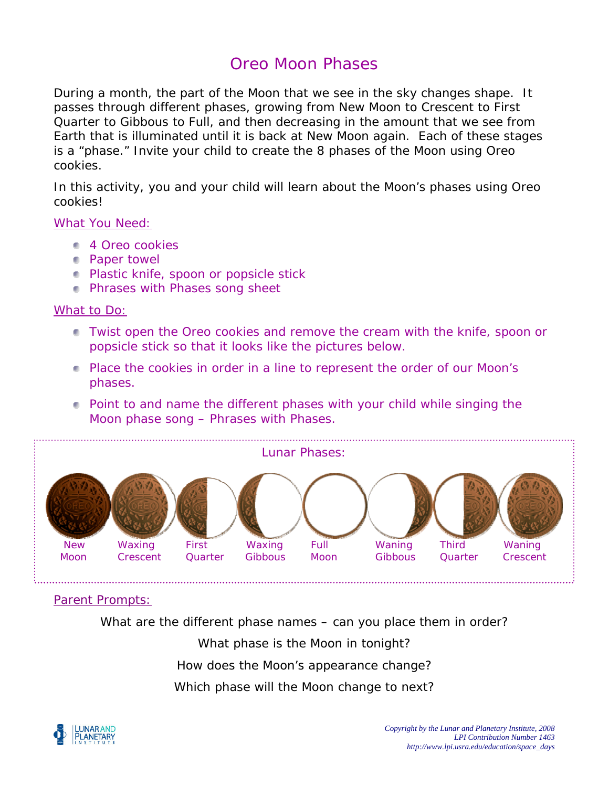# Oreo Moon Phases

During a month, the part of the Moon that we see in the sky changes shape. It passes through different phases, growing from New Moon to Crescent to First Quarter to Gibbous to Full, and then decreasing in the amount *that we see from Earth* that is illuminated until it is back at New Moon again. Each of these stages is a "phase." Invite your child to create the 8 phases of the Moon using Oreo cookies.

In this activity, you and your child will learn about the Moon's phases using Oreo cookies!

#### What You Need:

- **4** Oreo cookies
- Paper towel
- **Plastic knife, spoon or popsicle stick**
- **Phrases with Phases song sheet**

### What to Do:

- Twist open the Oreo cookies and remove the cream with the knife, spoon or popsicle stick so that it looks like the pictures below.
- **Place the cookies in order in a line to represent the order of our Moon's** phases.
- Point to and name the different phases with your child while singing the Moon phase song – Phrases with Phases.



### Parent Prompts:

What are the different phase names – can you place them in order?

What phase is the Moon in tonight?

How does the Moon's appearance change?

Which phase will the Moon change to next?